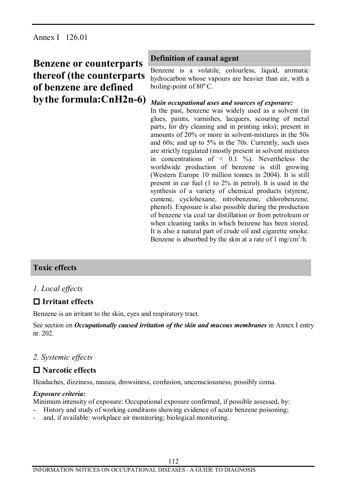# **Benzene or counterparts thereof (the counterparts of benzene are defined bythe formula:CnH2n-6)** *Main occupational uses and sources of exposure:*

## **Definition of causal agent**

Benzene is a volatile, colourless, liquid, aromatic hydrocarbon whose vapours are heavier than air, with a boiling-point of  $80^{\circ}$ C.

In the past, benzene was widely used as a solvent (in glues, paints, varnishes, lacquers, scouring of metal parts, for dry cleaning and in printing inks); present in amounts of 20% or more in solvent-mixtures in the 50s and 60s; and up to 5% in the 70s. Currently, such uses are strictly regulated (mostly present in solvent mixtures in concentrations of  $\leq$  0.1 %). Nevertheless the worldwide production of benzene is still growing (Western Europe 10 million tonnes in 2004). It is still present in car fuel (1 to 2% in petrol). It is used in the synthesis of a variety of chemical products (styrene, cumene, cyclohexane, nitrobenzene, chlorobenzene, phenol). Exposure is also possible during the production of benzene via coal tar distillation or from petroleum or when cleaning tanks in which benzene has been stored. It is also a natural part of crude oil and cigarette smoke. Benzene is absorbed by the skin at a rate of 1 mg/cm<sup>2</sup>/h.

## **Toxic effects**

## *1. Local effects*

## **o Irritant effects**

Benzene is an irritant to the skin, eyes and respiratory tract.

See section on *Occupationally caused irritation of the skin and mucous membranes* in Annex I entry nr. 202.

## *2. Systemic effects*

## **o Narcotic effects**

Headaches, dizziness, nausea, drowsiness, confusion, unconsciousness, possibly coma.

## *Exposure criteria:*

Minimum intensity of exposure: Occupational exposure confirmed, if possible assessed, by:

- History and study of working conditions showing evidence of acute benzene poisoning;
- and, if available: workplace air monitoring; biological monitoring.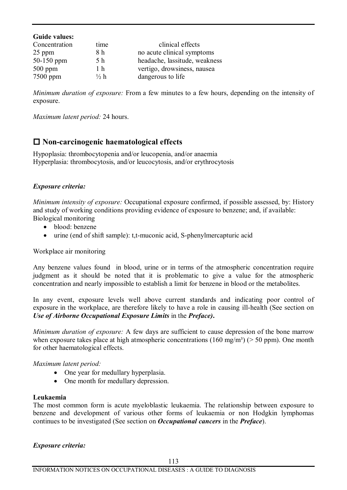| <b>Guide values:</b> |                 |                               |
|----------------------|-----------------|-------------------------------|
| Concentration        | time            | clinical effects              |
| $25$ ppm             | 8 h             | no acute clinical symptoms    |
| 50-150 ppm           | 5 h             | headache, lassitude, weakness |
| $500$ ppm            | 1 h             | vertigo, drowsiness, nausea   |
| 7500 ppm             | $\frac{1}{2} h$ | dangerous to life             |

*Minimum duration of exposure:* From a few minutes to a few hours, depending on the intensity of exposure.

*Maximum latent period:* 24 hours.

## **o Non-carcinogenic haematological effects**

Hypoplasia: thrombocytopenia and/or leucopenia, and/or anaemia Hyperplasia: thrombocytosis, and/or leucocytosis, and/or erythrocytosis

#### *Exposure criteria:*

*Minimum intensity of exposure:* Occupational exposure confirmed, if possible assessed, by: History and study of working conditions providing evidence of exposure to benzene; and, if available: Biological monitoring

- · blood: benzene
- urine (end of shift sample): t,t-muconic acid, S-phenylmercapturic acid

Workplace air monitoring

Any benzene values found in blood, urine or in terms of the atmospheric concentration require judgment as it should be noted that it is problematic to give a value for the atmospheric concentration and nearly impossible to establish a limit for benzene in blood or the metabolites.

In any event, exposure levels well above current standards and indicating poor control of exposure in the workplace, are therefore likely to have a role in causing ill-health (See section on *Use of Airborne Occupational Exposure Limits* in the *Preface)***.**

*Minimum duration of exposure:* A few days are sufficient to cause depression of the bone marrow when exposure takes place at high atmospheric concentrations (160 mg/m<sup>3</sup>) ( $>$  50 ppm). One month for other haematological effects.

#### *Maximum latent period:*

- One year for medullary hyperplasia.
- One month for medullary depression.

#### **Leukaemia**

The most common form is acute myeloblastic leukaemia. The relationship between exposure to benzene and development of various other forms of leukaemia or non Hodgkin lymphomas continues to be investigated (See section on *Occupational cancers* in the *Preface*).

*Exposure criteria:*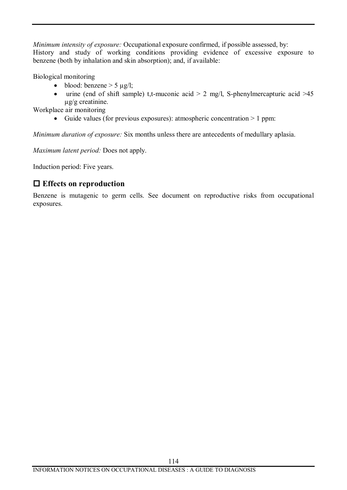*Minimum intensity of exposure:* Occupational exposure confirmed, if possible assessed, by: History and study of working conditions providing evidence of excessive exposure to benzene (both by inhalation and skin absorption); and, if available:

Biological monitoring

- blood: benzene  $> 5 \mu g/l$ ;
- urine (end of shift sample) t,t-muconic acid  $> 2$  mg/l, S-phenylmercapturic acid  $> 45$ µg/g creatinine.

Workplace air monitoring

• Guide values (for previous exposures): atmospheric concentration  $> 1$  ppm:

*Minimum duration of exposure:* Six months unless there are antecedents of medullary aplasia.

*Maximum latent period:* Does not apply.

Induction period: Five years.

## **o Effects on reproduction**

Benzene is mutagenic to germ cells. See document on reproductive risks from occupational exposures.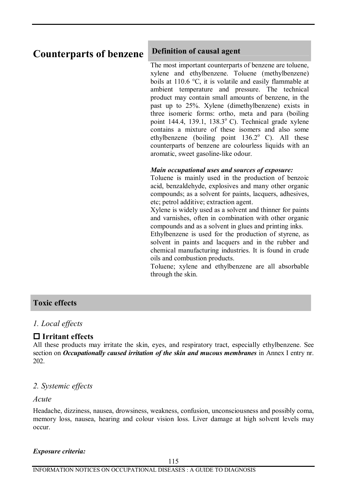# **Counterparts of benzene Definition of causal agent**

The most important counterparts of benzene are toluene, xylene and ethylbenzene. Toluene (methylbenzene) boils at 110.6 °C, it is volatile and easily flammable at ambient temperature and pressure. The technical product may contain small amounts of benzene, in the past up to 25%. Xylene (dimethylbenzene) exists in three isomeric forms: ortho, meta and para (boiling point 144.4, 139.1, 138.3 $^{\circ}$  C). Technical grade xylene contains a mixture of these isomers and also some ethylbenzene (boiling point  $136.2^{\circ}$  C). All these counterparts of benzene are colourless liquids with an aromatic, sweet gasoline-like odour.

#### *Main occupational uses and sources of exposure:*

Toluene is mainly used in the production of benzoic acid, benzaldehyde, explosives and many other organic compounds; as a solvent for paints, lacquers, adhesives, etc; petrol additive; extraction agent.

Xylene is widely used as a solvent and thinner for paints and varnishes, often in combination with other organic compounds and as a solvent in glues and printing inks.

Ethylbenzene is used for the production of styrene, as solvent in paints and lacquers and in the rubber and chemical manufacturing industries. It is found in crude oils and combustion products.

Toluene; xylene and ethylbenzene are all absorbable through the skin.

## **Toxic effects**

## *1. Local effects*

## **o Irritant effects**

All these products may irritate the skin, eyes, and respiratory tract, especially ethylbenzene. See section on *Occupationally caused irritation of the skin and mucous membranes* in Annex I entry nr. 202.

## *2. Systemic effects*

#### *Acute*

Headache, dizziness, nausea, drowsiness, weakness, confusion, unconsciousness and possibly coma, memory loss, nausea, hearing and colour vision loss. Liver damage at high solvent levels may occur.

#### *Exposure criteria:*